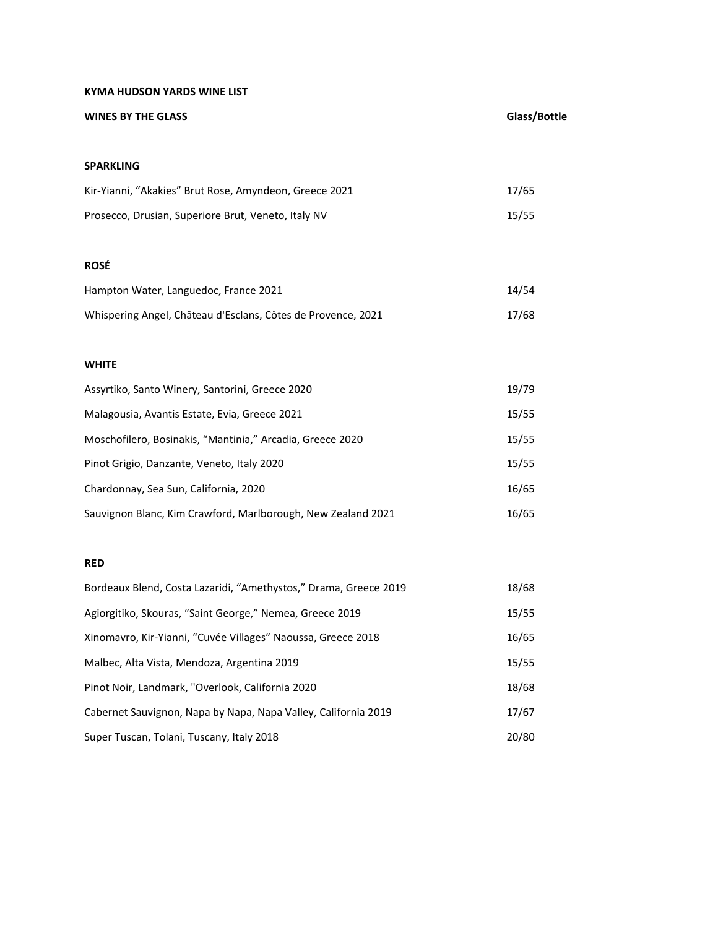## **KYMA HUDSON YARDS WINE LIST**

| <b>WINES BY THE GLASS</b>                                    | Glass/Bottle |
|--------------------------------------------------------------|--------------|
|                                                              |              |
| <b>SPARKLING</b>                                             |              |
| Kir-Yianni, "Akakies" Brut Rose, Amyndeon, Greece 2021       | 17/65        |
| Prosecco, Drusian, Superiore Brut, Veneto, Italy NV          | 15/55        |
|                                                              |              |
| <b>ROSÉ</b>                                                  |              |
| Hampton Water, Languedoc, France 2021                        | 14/54        |
| Whispering Angel, Château d'Esclans, Côtes de Provence, 2021 | 17/68        |
|                                                              |              |
| <b>WHITE</b>                                                 |              |
| Assyrtiko, Santo Winery, Santorini, Greece 2020              | 19/79        |
| Malagousia, Avantis Estate, Evia, Greece 2021                | 15/55        |
| Moschofilero, Bosinakis, "Mantinia," Arcadia, Greece 2020    | 15/55        |
| Pinot Grigio, Danzante, Veneto, Italy 2020                   | 15/55        |
| Chardonnay, Sea Sun, California, 2020                        | 16/65        |
| Sauvignon Blanc, Kim Crawford, Marlborough, New Zealand 2021 | 16/65        |
|                                                              |              |

# **RED**

| Bordeaux Blend, Costa Lazaridi, "Amethystos," Drama, Greece 2019 | 18/68 |
|------------------------------------------------------------------|-------|
| Agiorgitiko, Skouras, "Saint George," Nemea, Greece 2019         | 15/55 |
| Xinomavro, Kir-Yianni, "Cuvée Villages" Naoussa, Greece 2018     | 16/65 |
| Malbec, Alta Vista, Mendoza, Argentina 2019                      | 15/55 |
| Pinot Noir, Landmark, "Overlook, California 2020                 | 18/68 |
| Cabernet Sauvignon, Napa by Napa, Napa Valley, California 2019   | 17/67 |
| Super Tuscan, Tolani, Tuscany, Italy 2018                        | 20/80 |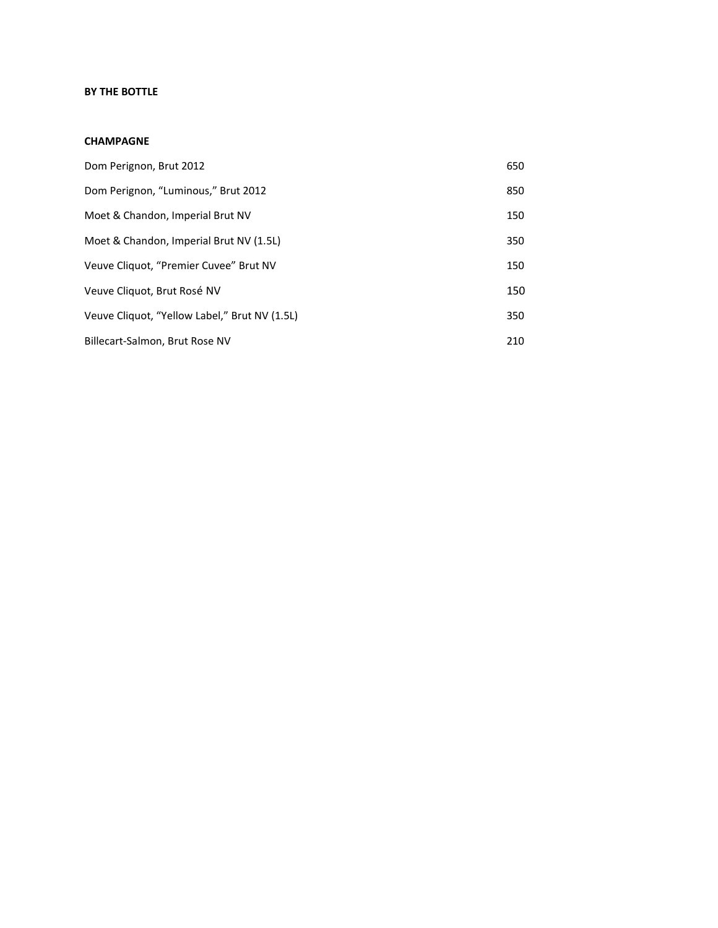# **BY THE BOTTLE**

#### **CHAMPAGNE**

| Dom Perignon, Brut 2012                       | 650 |
|-----------------------------------------------|-----|
| Dom Perignon, "Luminous," Brut 2012           | 850 |
| Moet & Chandon, Imperial Brut NV              | 150 |
| Moet & Chandon, Imperial Brut NV (1.5L)       | 350 |
| Veuve Cliquot, "Premier Cuvee" Brut NV        | 150 |
| Veuve Cliquot, Brut Rosé NV                   | 150 |
| Veuve Cliquot, "Yellow Label," Brut NV (1.5L) | 350 |
| Billecart-Salmon, Brut Rose NV                | 210 |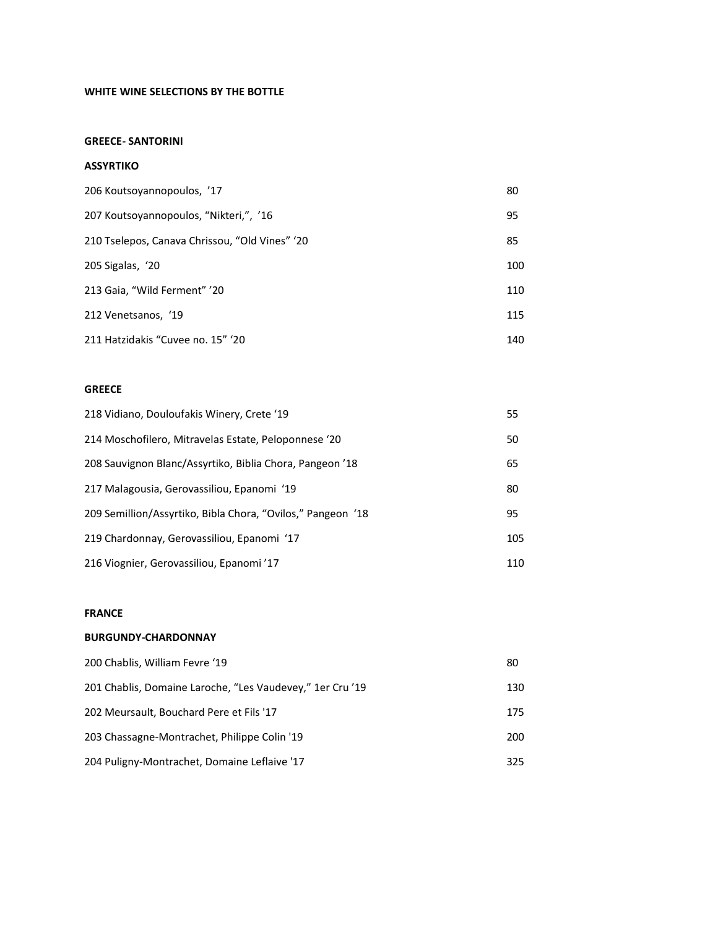# **WHITE WINE SELECTIONS BY THE BOTTLE**

#### **GREECE- SANTORINI**

#### **ASSYRTIKO**

| 206 Koutsoyannopoulos, '17                     | 80  |
|------------------------------------------------|-----|
| 207 Koutsoyannopoulos, "Nikteri,", '16         | 95  |
| 210 Tselepos, Canava Chrissou, "Old Vines" '20 | 85  |
| 205 Sigalas, '20                               | 100 |
| 213 Gaia, "Wild Ferment" '20                   | 110 |
| 212 Venetsanos, '19                            | 115 |
| 211 Hatzidakis "Cuvee no. 15" '20              | 140 |

## **GREECE**

| 218 Vidiano, Douloufakis Winery, Crete '19                  | 55  |
|-------------------------------------------------------------|-----|
| 214 Moschofilero, Mitravelas Estate, Peloponnese '20        | 50  |
| 208 Sauvignon Blanc/Assyrtiko, Biblia Chora, Pangeon '18    | 65  |
| 217 Malagousia, Gerovassiliou, Epanomi '19                  | 80  |
| 209 Semillion/Assyrtiko, Bibla Chora, "Ovilos," Pangeon '18 | 95  |
| 219 Chardonnay, Gerovassiliou, Epanomi '17                  | 105 |
| 216 Viognier, Gerovassiliou, Epanomi '17                    | 110 |

#### **FRANCE**

## **BURGUNDY-CHARDONNAY**

| 200 Chablis, William Fevre '19                            | 80  |
|-----------------------------------------------------------|-----|
| 201 Chablis, Domaine Laroche, "Les Vaudevey," 1er Cru '19 | 130 |
| 202 Meursault, Bouchard Pere et Fils '17                  | 175 |
| 203 Chassagne-Montrachet, Philippe Colin '19              | 200 |
| 204 Puligny-Montrachet, Domaine Leflaive '17              | 325 |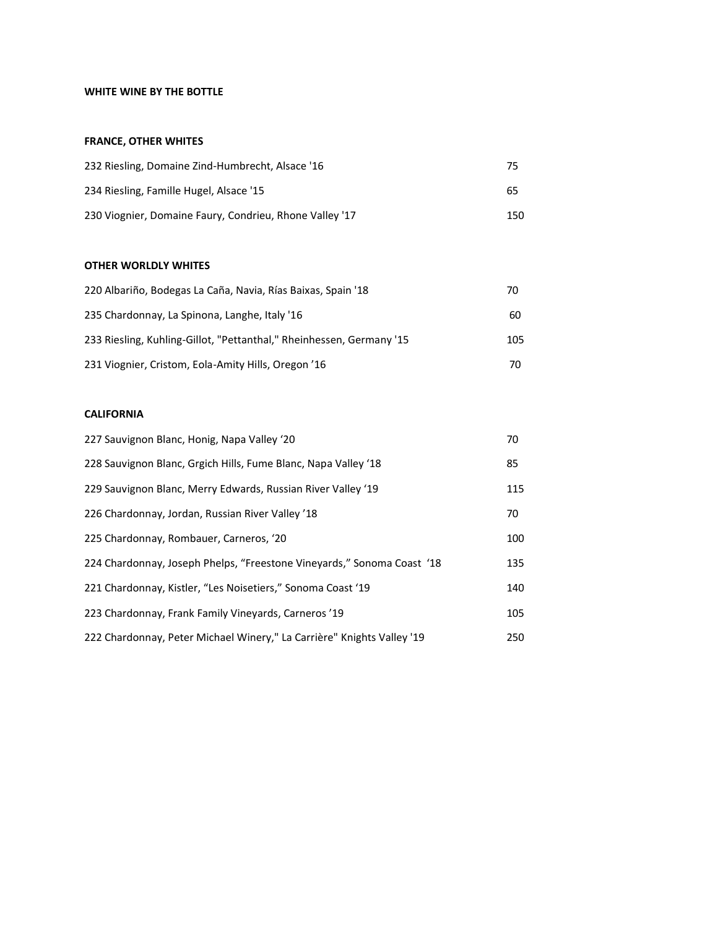# **WHITE WINE BY THE BOTTLE**

#### **FRANCE, OTHER WHITES**

| 232 Riesling, Domaine Zind-Humbrecht, Alsace '16        | -75 |
|---------------------------------------------------------|-----|
| 234 Riesling, Famille Hugel, Alsace '15                 | 65  |
| 230 Viognier, Domaine Faury, Condrieu, Rhone Valley '17 | 150 |

## **OTHER WORLDLY WHITES**

| 220 Albariño, Bodegas La Caña, Navia, Rías Baixas, Spain '18         | 70  |
|----------------------------------------------------------------------|-----|
| 235 Chardonnay, La Spinona, Langhe, Italy '16                        | 60  |
| 233 Riesling, Kuhling-Gillot, "Pettanthal," Rheinhessen, Germany '15 | 105 |
| 231 Viognier, Cristom, Eola-Amity Hills, Oregon '16                  | 70  |

# **CALIFORNIA**

| 227 Sauvignon Blanc, Honig, Napa Valley '20                            | 70  |
|------------------------------------------------------------------------|-----|
| 228 Sauvignon Blanc, Grgich Hills, Fume Blanc, Napa Valley '18         | 85  |
| 229 Sauvignon Blanc, Merry Edwards, Russian River Valley '19           | 115 |
| 226 Chardonnay, Jordan, Russian River Valley '18                       | 70  |
| 225 Chardonnay, Rombauer, Carneros, '20                                | 100 |
| 224 Chardonnay, Joseph Phelps, "Freestone Vineyards," Sonoma Coast '18 | 135 |
| 221 Chardonnay, Kistler, "Les Noisetiers," Sonoma Coast '19            | 140 |
| 223 Chardonnay, Frank Family Vineyards, Carneros '19                   | 105 |
| 222 Chardonnay, Peter Michael Winery," La Carrière" Knights Valley '19 | 250 |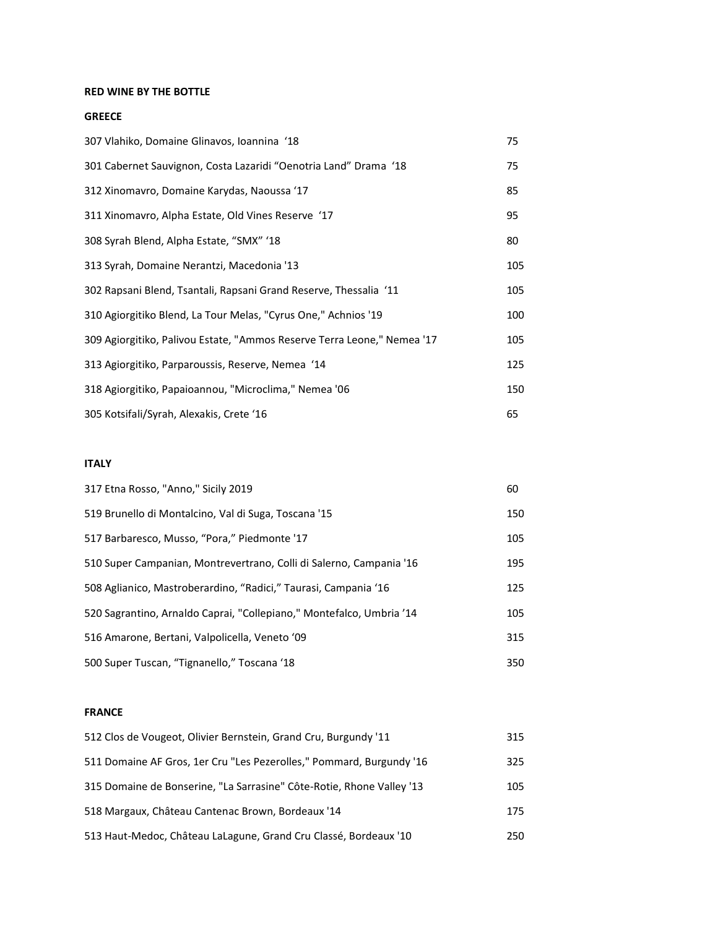## **RED WINE BY THE BOTTLE**

## **GREECE**

| 307 Vlahiko, Domaine Glinavos, Ioannina '18                             | 75  |
|-------------------------------------------------------------------------|-----|
| 301 Cabernet Sauvignon, Costa Lazaridi "Oenotria Land" Drama '18        | 75  |
| 312 Xinomavro, Domaine Karydas, Naoussa '17                             | 85  |
| 311 Xinomavro, Alpha Estate, Old Vines Reserve '17                      | 95  |
| 308 Syrah Blend, Alpha Estate, "SMX" '18                                | 80  |
| 313 Syrah, Domaine Nerantzi, Macedonia '13                              | 105 |
| 302 Rapsani Blend, Tsantali, Rapsani Grand Reserve, Thessalia '11       | 105 |
| 310 Agiorgitiko Blend, La Tour Melas, "Cyrus One," Achnios '19          | 100 |
| 309 Agiorgitiko, Palivou Estate, "Ammos Reserve Terra Leone," Nemea '17 | 105 |
| 313 Agiorgitiko, Parparoussis, Reserve, Nemea '14                       | 125 |
| 318 Agiorgitiko, Papaioannou, "Microclima," Nemea '06                   | 150 |
| 305 Kotsifali/Syrah, Alexakis, Crete '16                                | 65  |

# **ITALY**

| 317 Etna Rosso, "Anno," Sicily 2019                                  | 60  |
|----------------------------------------------------------------------|-----|
| 519 Brunello di Montalcino, Val di Suga, Toscana '15                 | 150 |
| 517 Barbaresco, Musso, "Pora," Piedmonte '17                         | 105 |
| 510 Super Campanian, Montrevertrano, Colli di Salerno, Campania '16  | 195 |
| 508 Aglianico, Mastroberardino, "Radici," Taurasi, Campania '16      | 125 |
| 520 Sagrantino, Arnaldo Caprai, "Collepiano," Montefalco, Umbria '14 | 105 |
| 516 Amarone, Bertani, Valpolicella, Veneto '09                       | 315 |
| 500 Super Tuscan, "Tignanello," Toscana '18                          | 350 |

#### **FRANCE**

| 512 Clos de Vougeot, Olivier Bernstein, Grand Cru, Burgundy '11       | 315 |
|-----------------------------------------------------------------------|-----|
| 511 Domaine AF Gros, 1er Cru "Les Pezerolles," Pommard, Burgundy '16  | 325 |
| 315 Domaine de Bonserine, "La Sarrasine" Côte-Rotie, Rhone Valley '13 | 105 |
| 518 Margaux, Château Cantenac Brown, Bordeaux '14                     | 175 |
| 513 Haut-Medoc, Château LaLagune, Grand Cru Classé, Bordeaux '10      | 250 |